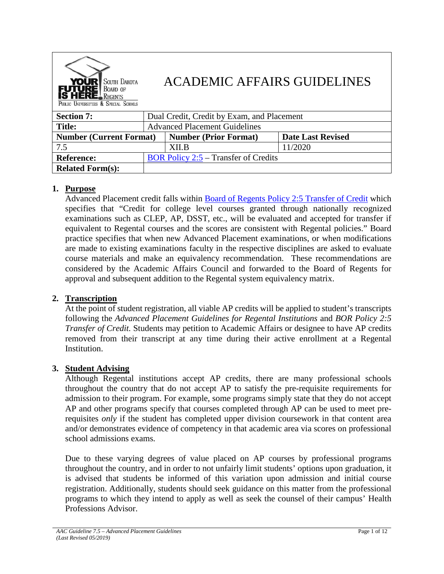

# ACADEMIC AFFAIRS GUIDELINES

| <b>Section 7:</b>              |                                             | Dual Credit, Credit by Exam, and Placement |                          |  |  |  |  |  |
|--------------------------------|---------------------------------------------|--------------------------------------------|--------------------------|--|--|--|--|--|
| <b>Title:</b>                  |                                             | <b>Advanced Placement Guidelines</b>       |                          |  |  |  |  |  |
| <b>Number (Current Format)</b> |                                             | Number (Prior Format)                      | <b>Date Last Revised</b> |  |  |  |  |  |
| 7.5                            |                                             | XII.B                                      | 11/2020                  |  |  |  |  |  |
| <b>Reference:</b>              | <b>BOR Policy 2:5 – Transfer of Credits</b> |                                            |                          |  |  |  |  |  |
| <b>Related Form(s):</b>        |                                             |                                            |                          |  |  |  |  |  |

### **1. Purpose**

Advanced Placement credit falls within [Board of Regents Policy 2:5 Transfer of Credit](https://www.sdbor.edu/policy/documents/2-5.pdf) which specifies that "Credit for college level courses granted through nationally recognized examinations such as CLEP, AP, DSST, etc., will be evaluated and accepted for transfer if equivalent to Regental courses and the scores are consistent with Regental policies." Board practice specifies that when new Advanced Placement examinations, or when modifications are made to existing examinations faculty in the respective disciplines are asked to evaluate course materials and make an equivalency recommendation. These recommendations are considered by the Academic Affairs Council and forwarded to the Board of Regents for approval and subsequent addition to the Regental system equivalency matrix.

### **2. Transcription**

At the point of student registration, all viable AP credits will be applied to student's transcripts following the *Advanced Placement Guidelines for Regental Institutions* and *BOR Policy 2:5 Transfer of Credit.* Students may petition to Academic Affairs or designee to have AP credits removed from their transcript at any time during their active enrollment at a Regental Institution.

### **3. Student Advising**

Although Regental institutions accept AP credits, there are many professional schools throughout the country that do not accept AP to satisfy the pre-requisite requirements for admission to their program. For example, some programs simply state that they do not accept AP and other programs specify that courses completed through AP can be used to meet prerequisites *only* if the student has completed upper division coursework in that content area and/or demonstrates evidence of competency in that academic area via scores on professional school admissions exams.

Due to these varying degrees of value placed on AP courses by professional programs throughout the country, and in order to not unfairly limit students' options upon graduation, it is advised that students be informed of this variation upon admission and initial course registration. Additionally, students should seek guidance on this matter from the professional programs to which they intend to apply as well as seek the counsel of their campus' Health Professions Advisor.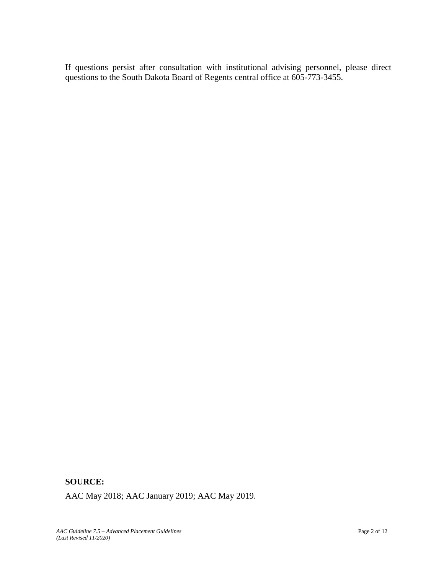If questions persist after consultation with institutional advising personnel, please direct questions to the South Dakota Board of Regents central office at 605-773-3455.

## **SOURCE:**

AAC May 2018; AAC January 2019; AAC May 2019.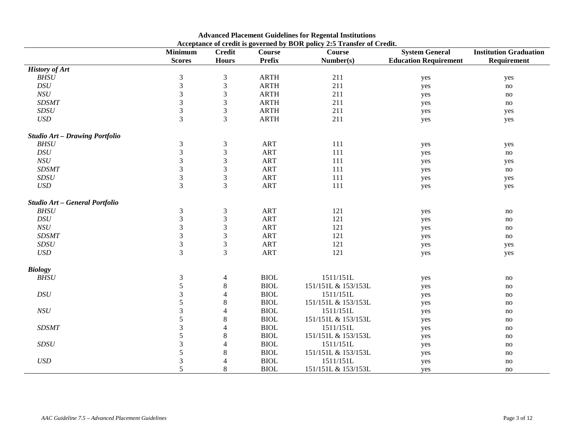|                                       | <b>Minimum</b> | <b>Credit</b>               | $\frac{1}{2}$ and $\frac{1}{2}$ are $\frac{1}{2}$ and $\frac{1}{2}$ are $\frac{1}{2}$ and $\frac{1}{2}$ are $\frac{1}{2}$ and $\frac{1}{2}$ are $\frac{1}{2}$<br><b>Course</b> | <b>Course</b>       | <b>System General</b>        | <b>Institution Graduation</b> |
|---------------------------------------|----------------|-----------------------------|--------------------------------------------------------------------------------------------------------------------------------------------------------------------------------|---------------------|------------------------------|-------------------------------|
|                                       | <b>Scores</b>  | <b>Hours</b>                | <b>Prefix</b>                                                                                                                                                                  | Number(s)           | <b>Education Requirement</b> | Requirement                   |
| <b>History of Art</b>                 |                |                             |                                                                                                                                                                                |                     |                              |                               |
| <b>BHSU</b>                           | $\mathfrak{Z}$ | $\mathfrak{Z}$              | <b>ARTH</b>                                                                                                                                                                    | 211                 | yes                          | yes                           |
| DSU                                   | $\mathfrak{Z}$ | $\ensuremath{\mathfrak{Z}}$ | ARTH                                                                                                                                                                           | 211                 | yes                          | no                            |
| $NSU$                                 | $\mathfrak{Z}$ | $\mathfrak{Z}$              | <b>ARTH</b>                                                                                                                                                                    | 211                 | yes                          | no                            |
| <b>SDSMT</b>                          | $\mathfrak{Z}$ | $\mathfrak{Z}$              | <b>ARTH</b>                                                                                                                                                                    | 211                 | yes                          | no                            |
| $SDSU$                                | $\mathfrak{Z}$ | $\mathfrak{Z}$              | <b>ARTH</b>                                                                                                                                                                    | 211                 | yes                          | yes                           |
| $\ensuremath{\mathit{USD}}$           | $\mathfrak{Z}$ | 3                           | <b>ARTH</b>                                                                                                                                                                    | 211                 | yes                          | yes                           |
| <b>Studio Art - Drawing Portfolio</b> |                |                             |                                                                                                                                                                                |                     |                              |                               |
| <b>BHSU</b>                           | $\mathfrak{Z}$ | $\mathfrak{Z}$              | <b>ART</b>                                                                                                                                                                     | 111                 | yes                          | yes                           |
| DSU                                   | 3              | $\ensuremath{\mathfrak{Z}}$ | <b>ART</b>                                                                                                                                                                     | 111                 | yes                          | no                            |
| $NSU$                                 | $\mathfrak{Z}$ | $\mathfrak{Z}$              | <b>ART</b>                                                                                                                                                                     | 111                 | yes                          | yes                           |
| <b>SDSMT</b>                          | $\overline{3}$ | $\mathfrak{Z}$              | <b>ART</b>                                                                                                                                                                     | 111                 | yes                          | no                            |
| SDSU                                  | $\mathfrak{Z}$ | 3                           | <b>ART</b>                                                                                                                                                                     | 111                 | yes                          | yes                           |
| $\ensuremath{\mathit{USD}}$           | 3              | 3                           | <b>ART</b>                                                                                                                                                                     | 111                 | yes                          | yes                           |
| Studio Art - General Portfolio        |                |                             |                                                                                                                                                                                |                     |                              |                               |
| <b>BHSU</b>                           | $\mathfrak{Z}$ | $\mathfrak{Z}$              | <b>ART</b>                                                                                                                                                                     | 121                 | yes                          | no                            |
| DSU                                   | 3              | 3                           | <b>ART</b>                                                                                                                                                                     | 121                 | yes                          | no                            |
| $NSU$                                 | $\mathfrak{Z}$ | 3                           | <b>ART</b>                                                                                                                                                                     | 121                 | yes                          | no                            |
| <b>SDSMT</b>                          | $\mathfrak{Z}$ | $\mathfrak{Z}$              | <b>ART</b>                                                                                                                                                                     | 121                 | yes                          | no                            |
| $SDSU$                                | $\overline{3}$ | $\mathfrak{Z}$              | <b>ART</b>                                                                                                                                                                     | 121                 | yes                          | yes                           |
| $\ensuremath{\mathit{USD}}$           | $\overline{3}$ | 3                           | <b>ART</b>                                                                                                                                                                     | 121                 | yes                          | yes                           |
| <b>Biology</b>                        |                |                             |                                                                                                                                                                                |                     |                              |                               |
| <b>BHSU</b>                           | $\mathfrak{Z}$ | $\overline{4}$              | <b>BIOL</b>                                                                                                                                                                    | 1511/151L           | yes                          | no                            |
|                                       | $\sqrt{5}$     | $8\,$                       | <b>BIOL</b>                                                                                                                                                                    | 151/151L & 153/153L | yes                          | no                            |
| DSU                                   | 3              | 4                           | <b>BIOL</b>                                                                                                                                                                    | 1511/151L           | yes                          | no                            |
|                                       | 5              | 8                           | <b>BIOL</b>                                                                                                                                                                    | 151/151L & 153/153L | yes                          | no                            |
| $NSU$                                 | 3              | 4                           | <b>BIOL</b>                                                                                                                                                                    | 1511/151L           | yes                          | no                            |
|                                       | 5              | 8                           | <b>BIOL</b>                                                                                                                                                                    | 151/151L & 153/153L | yes                          | no                            |
| <b>SDSMT</b>                          | 3              | 4                           | <b>BIOL</b>                                                                                                                                                                    | 1511/151L           | yes                          | no                            |
|                                       | 5              | $\,8\,$                     | <b>BIOL</b>                                                                                                                                                                    | 151/151L & 153/153L | yes                          | no                            |
| SDSU                                  | 3              | 4                           | <b>BIOL</b>                                                                                                                                                                    | 1511/151L           | yes                          | no                            |
|                                       | 5              | $\,8\,$                     | <b>BIOL</b>                                                                                                                                                                    | 151/151L & 153/153L | yes                          | no                            |
| <b>USD</b>                            | $\mathfrak{Z}$ | 4                           | <b>BIOL</b>                                                                                                                                                                    | 1511/151L           | yes                          | no                            |
|                                       | 5              | $\,8\,$                     | <b>BIOL</b>                                                                                                                                                                    | 151/151L & 153/153L | yes                          | no                            |

#### **Advanced Placement Guidelines for Regental Institutions Acceptance of credit is governed by BOR policy 2:5 Transfer of Credit.**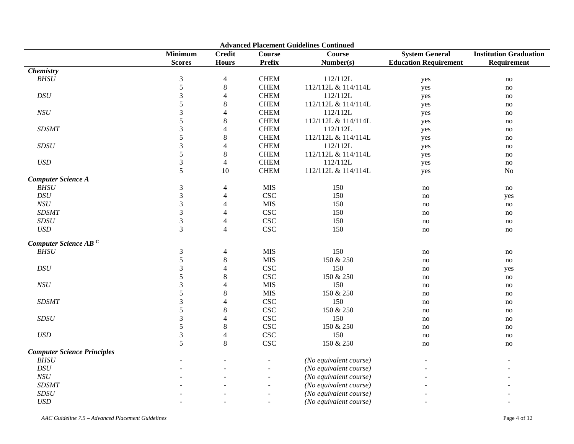| <b>Advanced Placement Guidelines Continued</b> |                             |                               |                |                        |                              |                               |  |  |  |
|------------------------------------------------|-----------------------------|-------------------------------|----------------|------------------------|------------------------------|-------------------------------|--|--|--|
|                                                | <b>Minimum</b>              | $\overline{\mathbf{C}}$ redit | <b>Course</b>  | <b>Course</b>          | <b>System General</b>        | <b>Institution Graduation</b> |  |  |  |
|                                                | <b>Scores</b>               | <b>Hours</b>                  | <b>Prefix</b>  | Number(s)              | <b>Education Requirement</b> | Requirement                   |  |  |  |
| <b>Chemistry</b>                               |                             |                               |                |                        |                              |                               |  |  |  |
| BHSU                                           | $\ensuremath{\mathfrak{Z}}$ | 4                             | <b>CHEM</b>    | 112/112L               | yes                          | no                            |  |  |  |
|                                                | $\sqrt{5}$                  | $\,8\,$                       | <b>CHEM</b>    | 112/112L & 114/114L    | yes                          | no                            |  |  |  |
| DSU                                            | 3                           | $\overline{4}$                | <b>CHEM</b>    | 112/112L               | yes                          | no                            |  |  |  |
|                                                | 5                           | $\,$ 8 $\,$                   | <b>CHEM</b>    | 112/112L & 114/114L    | yes                          | no                            |  |  |  |
| $NSU$                                          | $\mathfrak{Z}$              | 4                             | <b>CHEM</b>    | 112/112L               | yes                          | no                            |  |  |  |
|                                                | 5                           | $8\,$                         | <b>CHEM</b>    | 112/112L & 114/114L    | yes                          | no                            |  |  |  |
| <b>SDSMT</b>                                   | $\mathfrak{Z}$              | $\overline{4}$                | <b>CHEM</b>    | 112/112L               | yes                          | no                            |  |  |  |
|                                                | $\sqrt{5}$                  | $\,$ 8 $\,$                   | <b>CHEM</b>    | 112/112L & 114/114L    | yes                          | no                            |  |  |  |
| SDSU                                           | 3                           | 4                             | <b>CHEM</b>    | 112/112L               | yes                          | no                            |  |  |  |
|                                                | 5                           | 8                             | <b>CHEM</b>    | 112/112L & 114/114L    | yes                          | no                            |  |  |  |
| $\boldsymbol{USD}$                             | $\mathfrak 3$               | $\overline{4}$                | <b>CHEM</b>    | 112/112L               | yes                          | no                            |  |  |  |
|                                                | 5                           | 10                            | <b>CHEM</b>    | 112/112L & 114/114L    | yes                          | No                            |  |  |  |
| <b>Computer Science A</b>                      |                             |                               |                |                        |                              |                               |  |  |  |
| <b>BHSU</b>                                    | $\mathfrak{Z}$              | 4                             | <b>MIS</b>     | 150                    | no                           | no                            |  |  |  |
| DSU                                            | 3                           | $\overline{\mathbf{4}}$       | <b>CSC</b>     | 150                    | no                           | yes                           |  |  |  |
| NSU                                            | 3                           | $\overline{4}$                | <b>MIS</b>     | 150                    | no                           | no                            |  |  |  |
| <b>SDSMT</b>                                   | $\overline{3}$              | $\overline{4}$                | <b>CSC</b>     | 150                    | no                           | no                            |  |  |  |
| SDSU                                           | $\mathfrak{Z}$              | $\overline{\mathcal{A}}$      | <b>CSC</b>     | 150                    | no                           | no                            |  |  |  |
| USD                                            | 3                           | $\overline{4}$                | <b>CSC</b>     | 150                    | no                           | no                            |  |  |  |
|                                                |                             |                               |                |                        |                              |                               |  |  |  |
| Computer Science AB <sup>C</sup>               |                             |                               |                |                        |                              |                               |  |  |  |
| BHSU                                           | $\mathfrak{Z}$              | $\overline{4}$                | <b>MIS</b>     | 150                    | no                           | no                            |  |  |  |
|                                                | $\mathfrak s$               | $\,8\,$                       | <b>MIS</b>     | 150 & 250              | no                           | no                            |  |  |  |
| DSU                                            | $\mathfrak{Z}$              | $\overline{\mathbf{4}}$       | <b>CSC</b>     | 150                    | no                           | yes                           |  |  |  |
|                                                | 5                           | $\,8\,$                       | <b>CSC</b>     | 150 & 250              | no                           | no                            |  |  |  |
| NSU                                            | $\mathfrak{Z}$              | $\overline{\mathbf{4}}$       | <b>MIS</b>     | 150                    | no                           | no                            |  |  |  |
|                                                | 5                           | $\,$ 8 $\,$                   | <b>MIS</b>     | 150 & 250              | no                           | no                            |  |  |  |
| <b>SDSMT</b>                                   | 3                           | $\overline{4}$                | <b>CSC</b>     | 150                    | no                           | no                            |  |  |  |
|                                                | 5                           | $8\,$                         | <b>CSC</b>     | 150 & 250              | no                           | no                            |  |  |  |
| SDSU                                           | $\mathfrak{Z}$              | $\overline{4}$                | <b>CSC</b>     | 150                    | no                           | no                            |  |  |  |
|                                                | 5                           | $\,8\,$                       | <b>CSC</b>     | 150 & 250              | no                           | no                            |  |  |  |
| $\ensuremath{\mathit{USD}}$                    | 3                           | 4                             | <b>CSC</b>     | 150                    | no                           | no                            |  |  |  |
|                                                | 5                           | $\,8\,$                       | <b>CSC</b>     | 150 & 250              | no                           | no                            |  |  |  |
| <b>Computer Science Principles</b>             |                             |                               |                |                        |                              |                               |  |  |  |
| <b>BHSU</b>                                    |                             |                               |                | (No equivalent course) |                              |                               |  |  |  |
| $\cal{DS}U$                                    |                             |                               | $\overline{a}$ | (No equivalent course) |                              |                               |  |  |  |
| NSU                                            |                             |                               |                | (No equivalent course) |                              |                               |  |  |  |
| <b>SDSMT</b>                                   |                             |                               |                | (No equivalent course) |                              |                               |  |  |  |
| $SDSU$                                         |                             |                               |                | (No equivalent course) |                              |                               |  |  |  |
| <b>USD</b>                                     |                             |                               |                |                        |                              |                               |  |  |  |
|                                                |                             |                               |                | (No equivalent course) |                              |                               |  |  |  |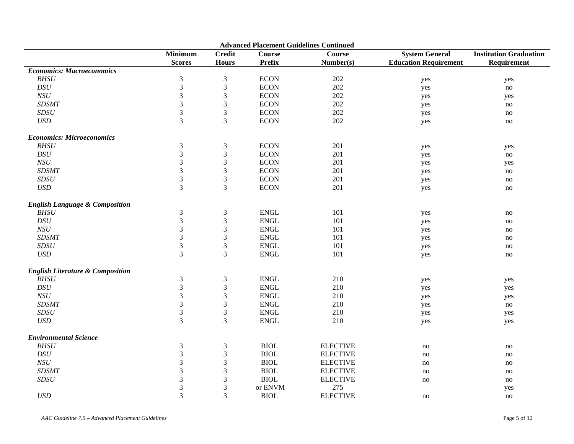| <b>Advanced Placement Guidelines Continued</b> |                             |                             |               |                 |                              |                               |  |  |
|------------------------------------------------|-----------------------------|-----------------------------|---------------|-----------------|------------------------------|-------------------------------|--|--|
|                                                | <b>Minimum</b>              | <b>Credit</b>               | <b>Course</b> | <b>Course</b>   | <b>System General</b>        | <b>Institution Graduation</b> |  |  |
|                                                | <b>Scores</b>               | <b>Hours</b>                | <b>Prefix</b> | Number(s)       | <b>Education Requirement</b> | Requirement                   |  |  |
| <b>Economics: Macroeconomics</b>               |                             |                             |               |                 |                              |                               |  |  |
| ${\it BHSU}$                                   | $\ensuremath{\mathfrak{Z}}$ | $\ensuremath{\mathfrak{Z}}$ | <b>ECON</b>   | 202             | yes                          | yes                           |  |  |
| DSU                                            | 3                           | $\mathfrak{Z}$              | <b>ECON</b>   | $202\,$         | yes                          | no                            |  |  |
| NSU                                            | $\mathfrak{Z}$              | $\mathfrak{Z}$              | <b>ECON</b>   | 202             | yes                          | yes                           |  |  |
| <b>SDSMT</b>                                   | $\mathfrak{Z}$              | $\ensuremath{\mathfrak{Z}}$ | <b>ECON</b>   | 202             | yes                          | no                            |  |  |
| SDSU                                           | $\mathfrak{Z}$              | $\ensuremath{\mathfrak{Z}}$ | <b>ECON</b>   | 202             | yes                          | no                            |  |  |
| $\boldsymbol{USD}$                             | 3                           | $\mathfrak{Z}$              | <b>ECON</b>   | 202             | yes                          | no                            |  |  |
| <b>Economics: Microeconomics</b>               |                             |                             |               |                 |                              |                               |  |  |
| BHSU                                           | $\mathfrak{Z}$              | $\ensuremath{\mathfrak{Z}}$ | <b>ECON</b>   | 201             | yes                          | yes                           |  |  |
| DSU                                            | $\mathfrak{Z}$              | $\mathfrak{Z}$              | <b>ECON</b>   | 201             | yes                          | no                            |  |  |
| NSU                                            | $\mathfrak{Z}$              | $\mathfrak{Z}$              | <b>ECON</b>   | 201             | yes                          | yes                           |  |  |
| <b>SDSMT</b>                                   | $\mathfrak{Z}$              | $\ensuremath{\mathfrak{Z}}$ | <b>ECON</b>   | 201             | yes                          | no                            |  |  |
| SDSU                                           | $\ensuremath{\mathfrak{Z}}$ | $\ensuremath{\mathfrak{Z}}$ | <b>ECON</b>   | 201             | yes                          | no                            |  |  |
| $\ensuremath{\mathit{USD}}$                    | 3                           | $\mathfrak{Z}$              | <b>ECON</b>   | 201             | yes                          | no                            |  |  |
| <b>English Language &amp; Composition</b>      |                             |                             |               |                 |                              |                               |  |  |
| <b>BHSU</b>                                    | $\mathfrak{Z}$              | $\mathfrak{Z}$              | <b>ENGL</b>   | 101             | yes                          | no                            |  |  |
| $\mathop{DSU}\nolimits$                        | $\mathfrak{Z}$              | $\ensuremath{\mathfrak{Z}}$ | <b>ENGL</b>   | 101             | yes                          | no                            |  |  |
| $NSU$                                          | $\mathfrak{Z}$              | $\ensuremath{\mathfrak{Z}}$ | <b>ENGL</b>   | 101             | yes                          | no                            |  |  |
| <b>SDSMT</b>                                   | $\ensuremath{\mathfrak{Z}}$ | $\ensuremath{\mathfrak{Z}}$ | <b>ENGL</b>   | 101             | yes                          | no                            |  |  |
| SDSU                                           | $\mathfrak{Z}$              | $\ensuremath{\mathfrak{Z}}$ | ${\rm ENGL}$  | 101             | yes                          | no                            |  |  |
| <b>USD</b>                                     | $\overline{3}$              | $\overline{3}$              | <b>ENGL</b>   | 101             | yes                          | no                            |  |  |
| <b>English Literature &amp; Composition</b>    |                             |                             |               |                 |                              |                               |  |  |
| <b>BHSU</b>                                    | $\mathfrak 3$               | $\mathfrak{Z}$              | <b>ENGL</b>   | 210             | yes                          | yes                           |  |  |
| DSU                                            | $\mathfrak{Z}$              | $\ensuremath{\mathfrak{Z}}$ | <b>ENGL</b>   | 210             | yes                          | yes                           |  |  |
| $NSU$                                          | $\mathfrak{Z}$              | $\ensuremath{\mathfrak{Z}}$ | <b>ENGL</b>   | 210             | yes                          | yes                           |  |  |
| <b>SDSMT</b>                                   | $\ensuremath{\mathfrak{Z}}$ | $\ensuremath{\mathfrak{Z}}$ | <b>ENGL</b>   | 210             | yes                          | no                            |  |  |
| SDSU                                           | $\mathfrak{Z}$              | $\mathfrak{Z}$              | <b>ENGL</b>   | 210             | yes                          | yes                           |  |  |
| <b>USD</b>                                     | $\overline{3}$              | $\overline{3}$              | <b>ENGL</b>   | 210             | yes                          | yes                           |  |  |
| <b>Environmental Science</b>                   |                             |                             |               |                 |                              |                               |  |  |
| <b>BHSU</b>                                    | $\mathfrak{Z}$              | $\mathfrak{Z}$              | <b>BIOL</b>   | <b>ELECTIVE</b> | no                           | no                            |  |  |
| $\cal{DS}U$                                    | $\mathfrak{Z}$              | $\ensuremath{\mathfrak{Z}}$ | <b>BIOL</b>   | <b>ELECTIVE</b> | no                           | no                            |  |  |
| NSU                                            | $\ensuremath{\mathfrak{Z}}$ | $\ensuremath{\mathfrak{Z}}$ | <b>BIOL</b>   | <b>ELECTIVE</b> | $\rm no$                     | no                            |  |  |
| <b>SDSMT</b>                                   | $\mathfrak{Z}$              | $\mathfrak{Z}$              | <b>BIOL</b>   | <b>ELECTIVE</b> | no                           | no                            |  |  |
| SDSU                                           | $\mathfrak{Z}$              | $\mathfrak{Z}$              | <b>BIOL</b>   | <b>ELECTIVE</b> | no                           | no                            |  |  |
|                                                | $\mathfrak{Z}$              | $\mathfrak{Z}$              | or ENVM       | 275             |                              | yes                           |  |  |
| <b>USD</b>                                     | $\mathfrak{Z}$              | 3                           | <b>BIOL</b>   | <b>ELECTIVE</b> | no                           | no                            |  |  |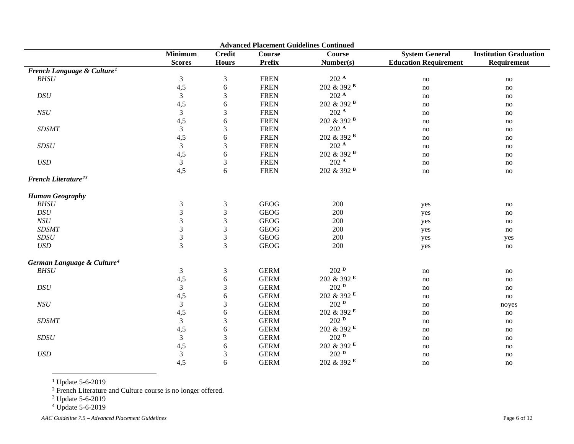<span id="page-5-3"></span><span id="page-5-2"></span><span id="page-5-1"></span><span id="page-5-0"></span>

| <b>Advanced Placement Guidelines Continued</b> |                |                |               |                        |                              |                               |  |
|------------------------------------------------|----------------|----------------|---------------|------------------------|------------------------------|-------------------------------|--|
|                                                | <b>Minimum</b> | <b>Credit</b>  | <b>Course</b> | <b>Course</b>          | <b>System General</b>        | <b>Institution Graduation</b> |  |
|                                                | <b>Scores</b>  | <b>Hours</b>   | Prefix        | Number(s)              | <b>Education Requirement</b> | Requirement                   |  |
| French Language & Culture <sup>1</sup>         |                |                |               |                        |                              |                               |  |
| BHSU                                           | $\mathfrak{Z}$ | $\mathfrak{Z}$ | <b>FREN</b>   | 202 <sup>A</sup>       | no                           | no                            |  |
|                                                | 4,5            | 6              | <b>FREN</b>   | 202 & 392 <sup>B</sup> | no                           | no                            |  |
| $\cal{DS}U$                                    | $\mathfrak{Z}$ | 3              | <b>FREN</b>   | $202$ $^{\rm A}$       | no                           | no                            |  |
|                                                | 4,5            | 6              | <b>FREN</b>   | 202 & 392 B            | no                           | no                            |  |
| NSU                                            | $\mathfrak{Z}$ | 3              | <b>FREN</b>   | 202 <sup>A</sup>       | no                           | no                            |  |
|                                                | 4,5            | $\sqrt{6}$     | <b>FREN</b>   | 202 & 392 B            | no                           | no                            |  |
| <b>SDSMT</b>                                   | $\mathfrak{Z}$ | 3              | <b>FREN</b>   | $202$ $^{\rm A}$       | no                           | no                            |  |
|                                                | 4,5            | 6              | <b>FREN</b>   | 202 & 392 <sup>B</sup> | no                           | no                            |  |
| SDSU                                           | $\overline{3}$ | $\mathfrak{Z}$ | <b>FREN</b>   | 202 <sup>A</sup>       | no                           | no                            |  |
|                                                | 4,5            | 6              | <b>FREN</b>   | 202 & 392 <sup>B</sup> | no                           | no                            |  |
| $\boldsymbol{USD}$                             | $\mathfrak{Z}$ | $\mathfrak{Z}$ | <b>FREN</b>   | 202 <sup>A</sup>       | no                           | no                            |  |
|                                                | 4,5            | 6              | <b>FREN</b>   | 202 & 392 B            | $\mathop{\mathrm{no}}$       | $\mathbf{no}$                 |  |
| French Literature <sup>23</sup>                |                |                |               |                        |                              |                               |  |
| <b>Human Geography</b>                         |                |                |               |                        |                              |                               |  |
| <b>BHSU</b>                                    | $\mathfrak{Z}$ | 3              | <b>GEOG</b>   | 200                    | yes                          | no                            |  |
| DSU                                            | 3              | $\sqrt{3}$     | <b>GEOG</b>   | 200                    | yes                          | no                            |  |
| NSU                                            | 3              | $\mathfrak{Z}$ | <b>GEOG</b>   | 200                    | yes                          | no                            |  |
| <b>SDSMT</b>                                   | 3              | 3              | <b>GEOG</b>   | 200                    | yes                          | no                            |  |
| SDSU                                           | $\mathfrak{Z}$ | 3              | <b>GEOG</b>   | 200                    | yes                          | yes                           |  |
| USD                                            | 3              | 3              | <b>GEOG</b>   | 200                    | yes                          | no                            |  |
| German Language & Culture <sup>4</sup>         |                |                |               |                        |                              |                               |  |
| <b>BHSU</b>                                    | $\mathfrak{Z}$ | $\mathfrak{Z}$ | <b>GERM</b>   | 202P                   | no                           | no                            |  |
|                                                | 4,5            | 6              | <b>GERM</b>   | 202 & 392 E            | no                           | no                            |  |
| $\mathop{DSU}$                                 | $\mathfrak{Z}$ | 3              | <b>GERM</b>   | 202P                   | no                           | no                            |  |
|                                                | 4,5            | 6              | <b>GERM</b>   | 202 & 392 E            | no                           | no                            |  |
| NSU                                            | $\mathfrak{Z}$ | 3              | <b>GERM</b>   | $202$ $^{\rm D}$       | no                           | noyes                         |  |
|                                                | 4,5            | $\sqrt{6}$     | <b>GERM</b>   | 202 & 392 E            | no                           | no                            |  |
| <b>SDSMT</b>                                   | $\mathfrak{Z}$ | $\mathfrak{Z}$ | <b>GERM</b>   | 202P                   | no                           | no                            |  |
|                                                | 4,5            | $\sqrt{6}$     | <b>GERM</b>   | 202 & 392 E            | no                           | no                            |  |
| SDSU                                           | $\mathfrak{Z}$ | $\mathfrak{Z}$ | <b>GERM</b>   | $202$ <sup>D</sup>     | no                           | no                            |  |
|                                                | 4,5            | 6              | <b>GERM</b>   | 202 & 392 E            | no                           | no                            |  |
| USD                                            | $\mathfrak{Z}$ | $\mathfrak{Z}$ | <b>GERM</b>   | 202P                   | no                           | no                            |  |
|                                                | 4,5            | 6              | <b>GERM</b>   | 202 & 392 E            | no                           | no                            |  |

 $1$  Update 5-6-2019

<sup>2</sup> French Literature and Culture course is no longer offered.

<sup>3</sup> Update 5-6-2019

<sup>4</sup> Update 5-6-2019

*AAC Guideline 7.5 – Advanced Placement Guidelines* Page 6 of 12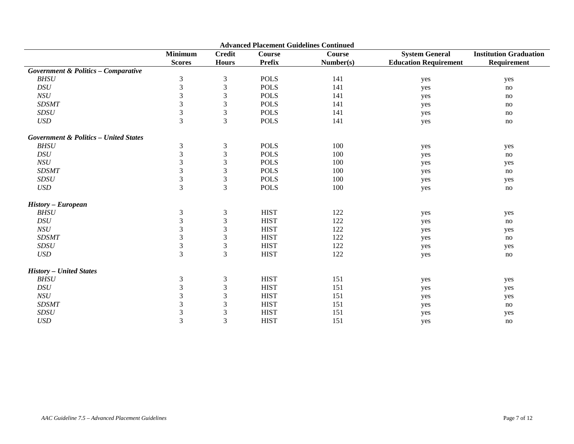| <b>Advanced Placement Guidelines Continued</b>   |                                 |                               |                                |                     |                                                       |                                              |  |
|--------------------------------------------------|---------------------------------|-------------------------------|--------------------------------|---------------------|-------------------------------------------------------|----------------------------------------------|--|
|                                                  | <b>Minimum</b><br><b>Scores</b> | <b>Credit</b><br><b>Hours</b> | <b>Course</b><br><b>Prefix</b> | Course<br>Number(s) | <b>System General</b><br><b>Education Requirement</b> | <b>Institution Graduation</b><br>Requirement |  |
| <b>Government &amp; Politics - Comparative</b>   |                                 |                               |                                |                     |                                                       |                                              |  |
| <b>BHSU</b>                                      | $\mathfrak{Z}$                  | $\mathfrak{Z}$                | <b>POLS</b>                    | 141                 | yes                                                   | yes                                          |  |
| $\mathop{DSU}\nolimits$                          | $\mathfrak{Z}$                  | $\mathfrak{Z}$                | <b>POLS</b>                    | 141                 | yes                                                   | no                                           |  |
| NSU                                              | $\mathfrak{Z}$                  | $\mathfrak{Z}$                | <b>POLS</b>                    | 141                 | yes                                                   | no                                           |  |
| <b>SDSMT</b>                                     | 3                               | $\mathfrak 3$                 | <b>POLS</b>                    | 141                 | yes                                                   | no                                           |  |
| SDSU                                             | $\overline{3}$                  | $\sqrt{3}$                    | <b>POLS</b>                    | 141                 | yes                                                   | no                                           |  |
| <b>USD</b>                                       | 3                               | $\mathfrak{Z}$                | <b>POLS</b>                    | 141                 | yes                                                   | no                                           |  |
| <b>Government &amp; Politics - United States</b> |                                 |                               |                                |                     |                                                       |                                              |  |
| <b>BHSU</b>                                      | $\mathfrak{Z}$                  | $\mathfrak{Z}$                | <b>POLS</b>                    | 100                 | yes                                                   | yes                                          |  |
| DSU                                              | $\mathfrak{Z}$                  | $\mathfrak{Z}$                | <b>POLS</b>                    | 100                 | yes                                                   | no                                           |  |
| $NSU$                                            | $\mathfrak{Z}$                  | $\mathfrak{Z}$                | <b>POLS</b>                    | 100                 | yes                                                   | yes                                          |  |
| <b>SDSMT</b>                                     | $\mathfrak{Z}$                  | $\mathfrak 3$                 | <b>POLS</b>                    | 100                 | yes                                                   | no                                           |  |
| SDSU                                             | $\mathfrak{Z}$                  | $\mathfrak{Z}$                | <b>POLS</b>                    | 100                 | yes                                                   | yes                                          |  |
| <b>USD</b>                                       | 3                               | $\overline{3}$                | <b>POLS</b>                    | 100                 | yes                                                   | no                                           |  |
| <b>History - European</b>                        |                                 |                               |                                |                     |                                                       |                                              |  |
| BHSU                                             | $\mathfrak{Z}$                  | $\ensuremath{\mathfrak{Z}}$   | <b>HIST</b>                    | 122                 | yes                                                   | yes                                          |  |
| DSU                                              | $\mathfrak{Z}$                  | $\mathfrak{Z}$                | <b>HIST</b>                    | 122                 | yes                                                   | no                                           |  |
| NSU                                              | 3                               | $\mathfrak{Z}$                | <b>HIST</b>                    | 122                 | yes                                                   | yes                                          |  |
| <b>SDSMT</b>                                     | 3                               | 3                             | <b>HIST</b>                    | 122                 | yes                                                   | no                                           |  |
| SDSU                                             | $\sqrt{3}$                      | $\mathfrak{Z}$                | <b>HIST</b>                    | 122                 | yes                                                   | yes                                          |  |
| <b>USD</b>                                       | $\mathfrak{Z}$                  | $\mathfrak{Z}$                | <b>HIST</b>                    | 122                 | yes                                                   | no                                           |  |
| <b>History - United States</b>                   |                                 |                               |                                |                     |                                                       |                                              |  |
| <b>BHSU</b>                                      | $\mathfrak{Z}$                  | $\boldsymbol{\beta}$          | <b>HIST</b>                    | 151                 | yes                                                   | yes                                          |  |
| DSU                                              | $\mathfrak{Z}$                  | $\sqrt{3}$                    | <b>HIST</b>                    | 151                 | yes                                                   | yes                                          |  |
| NSU                                              | $\mathfrak{Z}$                  | $\mathfrak 3$                 | <b>HIST</b>                    | 151                 | yes                                                   | yes                                          |  |
| <b>SDSMT</b>                                     | $\mathfrak{Z}$                  | $\mathfrak{Z}$                | <b>HIST</b>                    | 151                 | yes                                                   | no                                           |  |
| SDSU                                             | $\mathfrak{Z}$                  | $\mathfrak{Z}$                | <b>HIST</b>                    | 151                 | yes                                                   | yes                                          |  |
| $\ensuremath{\mathit{USD}}$                      | $\overline{3}$                  | 3                             | <b>HIST</b>                    | 151                 | yes                                                   | no                                           |  |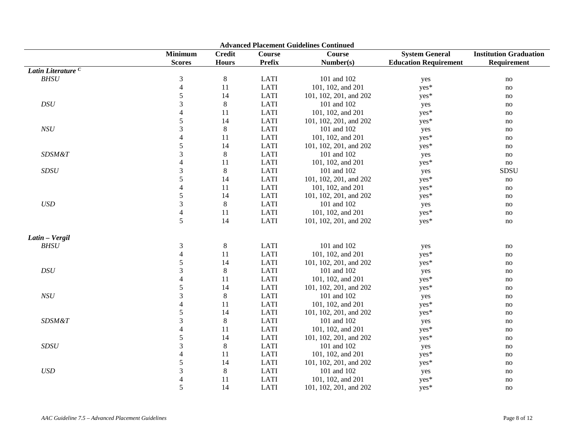| <b>Advanced Placement Guidelines Continued</b> |                          |               |               |                        |                              |                               |  |  |
|------------------------------------------------|--------------------------|---------------|---------------|------------------------|------------------------------|-------------------------------|--|--|
|                                                | <b>Minimum</b>           | <b>Credit</b> | <b>Course</b> | <b>Course</b>          | <b>System General</b>        | <b>Institution Graduation</b> |  |  |
|                                                | <b>Scores</b>            | <b>Hours</b>  | <b>Prefix</b> | Number(s)              | <b>Education Requirement</b> | Requirement                   |  |  |
| Latin Literature <sup>C</sup>                  |                          |               |               |                        |                              |                               |  |  |
| BHSU                                           | 3                        | $\,8\,$       | <b>LATI</b>   | 101 and 102            | yes                          | no                            |  |  |
|                                                | $\overline{4}$           | 11            | <b>LATI</b>   | 101, 102, and 201      | yes*                         | no                            |  |  |
|                                                | $\sqrt{5}$               | 14            | <b>LATI</b>   | 101, 102, 201, and 202 | yes*                         | no                            |  |  |
| $\cal{DS}U$                                    | 3                        | 8             | <b>LATI</b>   | 101 and 102            | yes                          | no                            |  |  |
|                                                | $\overline{4}$           | 11            | <b>LATI</b>   | 101, 102, and 201      | yes*                         | no                            |  |  |
|                                                | 5                        | 14            | <b>LATI</b>   | 101, 102, 201, and 202 | yes*                         | no                            |  |  |
| NSU                                            | $\mathfrak{Z}$           | 8             | <b>LATI</b>   | 101 and 102            | yes                          | no                            |  |  |
|                                                | 4                        | 11            | <b>LATI</b>   | 101, 102, and 201      | yes*                         | no                            |  |  |
|                                                | 5                        | 14            | <b>LATI</b>   | 101, 102, 201, and 202 | yes*                         | no                            |  |  |
| SDSM&T                                         | 3                        | 8             | <b>LATI</b>   | 101 and 102            | yes                          | no                            |  |  |
|                                                | $\overline{4}$           | 11            | <b>LATI</b>   | 101, 102, and 201      | yes*                         | no                            |  |  |
| SDSU                                           | 3                        | $\,8\,$       | <b>LATI</b>   | 101 and 102            | yes                          | SDSU                          |  |  |
|                                                | 5                        | 14            | <b>LATI</b>   | 101, 102, 201, and 202 | yes*                         | no                            |  |  |
|                                                | $\overline{4}$           | 11            | <b>LATI</b>   | 101, 102, and 201      | yes*                         | no                            |  |  |
|                                                | 5                        | 14            | <b>LATI</b>   | 101, 102, 201, and 202 | yes*                         | no                            |  |  |
| $\ensuremath{\mathit{USD}}$                    | $\mathfrak{Z}$           | $\,8\,$       | <b>LATI</b>   | 101 and 102            | yes                          | no                            |  |  |
|                                                | $\overline{4}$           | 11            | <b>LATI</b>   | 101, 102, and 201      | yes*                         | no                            |  |  |
|                                                | 5                        | 14            | <b>LATI</b>   | 101, 102, 201, and 202 | yes*                         | no                            |  |  |
| Latin - Vergil                                 |                          |               |               |                        |                              |                               |  |  |
| BHSU                                           | $\mathfrak{Z}$           | $\,8\,$       | <b>LATI</b>   | 101 and 102            | yes                          | no                            |  |  |
|                                                | $\overline{4}$           | 11            | <b>LATI</b>   | 101, 102, and 201      | yes*                         | no                            |  |  |
|                                                | 5                        | 14            | <b>LATI</b>   | 101, 102, 201, and 202 | yes*                         | no                            |  |  |
| $\cal{DS}U$                                    | $\mathfrak{Z}$           | $8\,$         | <b>LATI</b>   | 101 and 102            | yes                          | no                            |  |  |
|                                                | $\overline{4}$           | 11            | <b>LATI</b>   | 101, 102, and 201      | yes*                         | no                            |  |  |
|                                                | 5                        | 14            | <b>LATI</b>   | 101, 102, 201, and 202 | yes*                         | no                            |  |  |
| $NSU$                                          | 3                        | $\,8\,$       | <b>LATI</b>   | 101 and 102            | yes                          | no                            |  |  |
|                                                | $\overline{4}$           | 11            | <b>LATI</b>   | 101, 102, and 201      | yes*                         | no                            |  |  |
|                                                | 5                        | 14            | <b>LATI</b>   | 101, 102, 201, and 202 | yes*                         | no                            |  |  |
| SDSM&T                                         | $\mathfrak{Z}$           | $\,8\,$       | <b>LATI</b>   | 101 and 102            | yes                          | no                            |  |  |
|                                                | $\overline{\mathcal{L}}$ | 11            | <b>LATI</b>   | 101, 102, and 201      | yes*                         | no                            |  |  |
|                                                | 5                        | 14            | <b>LATI</b>   | 101, 102, 201, and 202 | yes*                         | no                            |  |  |
| SDSU                                           | $\mathfrak{Z}$           | 8             | <b>LATI</b>   | 101 and 102            | yes                          | no                            |  |  |
|                                                |                          | 11            | <b>LATI</b>   | 101, 102, and 201      | yes*                         | no                            |  |  |
|                                                | 5                        | 14            | <b>LATI</b>   | 101, 102, 201, and 202 | yes*                         | no                            |  |  |
| $\ensuremath{\mathit{USD}}$                    | $\mathfrak{Z}$           | $\,8\,$       | <b>LATI</b>   | 101 and 102            | yes                          | no                            |  |  |
|                                                | $\overline{4}$           | 11            | <b>LATI</b>   | 101, 102, and 201      | yes*                         | no                            |  |  |
|                                                | 5                        | 14            | <b>LATI</b>   | 101, 102, 201, and 202 | yes*                         | no                            |  |  |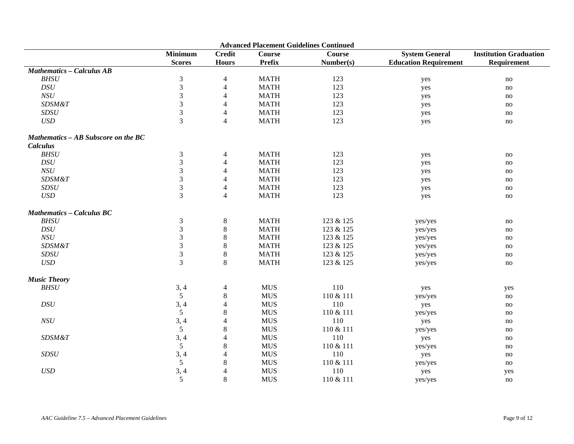| <b>Advanced Placement Guidelines Continued</b> |                 |                          |               |               |                              |                               |  |
|------------------------------------------------|-----------------|--------------------------|---------------|---------------|------------------------------|-------------------------------|--|
|                                                | <b>Minimum</b>  | <b>Credit</b>            | <b>Course</b> | <b>Course</b> | <b>System General</b>        | <b>Institution Graduation</b> |  |
|                                                | <b>Scores</b>   | <b>Hours</b>             | <b>Prefix</b> | Number(s)     | <b>Education Requirement</b> | Requirement                   |  |
| <b>Mathematics - Calculus AB</b>               |                 |                          |               |               |                              |                               |  |
| <b>BHSU</b>                                    | 3               | $\overline{4}$           | <b>MATH</b>   | 123           | yes                          | no                            |  |
| DSU                                            | 3               | $\overline{4}$           | <b>MATH</b>   | 123           | yes                          | $\mathbf{no}$                 |  |
| NSU                                            | $\mathfrak{Z}$  | $\overline{\mathcal{A}}$ | <b>MATH</b>   | 123           | yes                          | no                            |  |
| <b>SDSM&amp;T</b>                              | 3               | $\overline{\mathcal{L}}$ | <b>MATH</b>   | 123           | yes                          | no                            |  |
| SDSU                                           | 3               | 4                        | <b>MATH</b>   | 123           | yes                          | no                            |  |
| <b>USD</b>                                     | 3               | $\overline{4}$           | <b>MATH</b>   | 123           | yes                          | $\mathbf{no}$                 |  |
| Mathematics - AB Subscore on the BC            |                 |                          |               |               |                              |                               |  |
| <b>Calculus</b>                                |                 |                          |               |               |                              |                               |  |
| BHSU                                           | $\mathfrak{Z}$  | $\overline{4}$           | <b>MATH</b>   | 123           | yes                          | no                            |  |
| $\cal{DS}U$                                    | 3               | 4                        | <b>MATH</b>   | 123           | yes                          | no                            |  |
| NSU                                            | 3               | 4                        | <b>MATH</b>   | 123           | yes                          | no                            |  |
| SDSM&T                                         | 3               | $\overline{4}$           | <b>MATH</b>   | 123           | yes                          | no                            |  |
| SDSU                                           | $\mathfrak{Z}$  | $\overline{4}$           | <b>MATH</b>   | 123           | yes                          | no                            |  |
| <b>USD</b>                                     | 3               | $\overline{4}$           | <b>MATH</b>   | 123           | yes                          | no                            |  |
| <b>Mathematics - Calculus BC</b>               |                 |                          |               |               |                              |                               |  |
| <b>BHSU</b>                                    | 3               | $\,8\,$                  | <b>MATH</b>   | 123 & 125     | yes/yes                      | no                            |  |
| $\cal{DS}U$                                    | 3               | $\,8\,$                  | <b>MATH</b>   | 123 & 125     | yes/yes                      | no                            |  |
| NSU                                            | $\mathfrak{Z}$  | $\,8\,$                  | <b>MATH</b>   | 123 & 125     | yes/yes                      | no                            |  |
| SDSM&T                                         | $\mathfrak{Z}$  | $\,8\,$                  | <b>MATH</b>   | 123 & 125     | yes/yes                      | no                            |  |
| SDSU                                           | 3               | 8                        | <b>MATH</b>   | 123 & 125     | yes/yes                      | no                            |  |
| $\ensuremath{\mathit{USD}}$                    | 3               | $\,8\,$                  | <b>MATH</b>   | 123 & 125     | yes/yes                      | no                            |  |
| <b>Music Theory</b>                            |                 |                          |               |               |                              |                               |  |
| <b>BHSU</b>                                    | 3, 4            | $\overline{4}$           | <b>MUS</b>    | 110           | yes                          | yes                           |  |
|                                                | 5               | $\,8\,$                  | <b>MUS</b>    | 110 & 111     | yes/yes                      | $\mathbf{no}$                 |  |
| DSU                                            | 3, 4            | 4                        | <b>MUS</b>    | 110           | yes                          | no                            |  |
|                                                | $\overline{5}$  | 8                        | <b>MUS</b>    | 110 & 111     | yes/yes                      | no                            |  |
| NSU                                            | 3, 4            | 4                        | <b>MUS</b>    | 110           | yes                          | no                            |  |
|                                                | $5\overline{)}$ | 8                        | <b>MUS</b>    | 110 & 111     | yes/yes                      | no                            |  |
| <b>SDSM&amp;T</b>                              | 3, 4            | 4                        | <b>MUS</b>    | 110           | yes                          | $\mathbf{no}$                 |  |
|                                                | 5               | $\,8\,$                  | <b>MUS</b>    | 110 & 111     | yes/yes                      | no                            |  |
| SDSU                                           | 3, 4            | 4                        | <b>MUS</b>    | 110           | yes                          | no                            |  |
|                                                | $\mathfrak{S}$  | 8                        | ${\rm MUS}$   | 110 & 111     | yes/yes                      | no                            |  |
| <b>USD</b>                                     | 3,4             | 4                        | <b>MUS</b>    | 110           | yes                          | yes                           |  |
|                                                | 5               | 8                        | <b>MUS</b>    | 110 & 111     | yes/yes                      | no                            |  |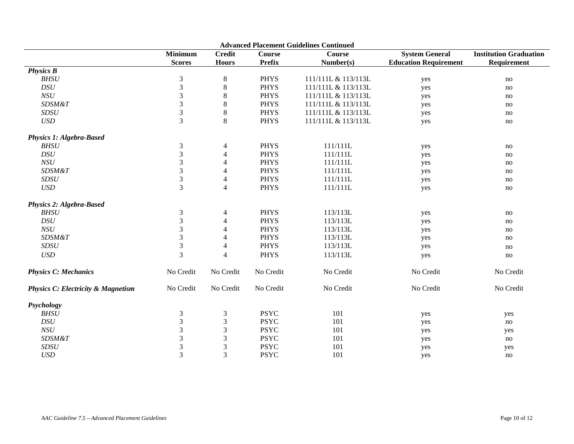| <b>Advanced Placement Guidelines Continued</b> |                             |                |               |                     |                              |                               |  |  |  |
|------------------------------------------------|-----------------------------|----------------|---------------|---------------------|------------------------------|-------------------------------|--|--|--|
|                                                | <b>Minimum</b>              | <b>Credit</b>  | <b>Course</b> | Course              | <b>System General</b>        | <b>Institution Graduation</b> |  |  |  |
|                                                | <b>Scores</b>               | <b>Hours</b>   | <b>Prefix</b> | Number(s)           | <b>Education Requirement</b> | Requirement                   |  |  |  |
| <b>Physics B</b>                               |                             |                |               |                     |                              |                               |  |  |  |
| <b>BHSU</b>                                    | $\mathfrak 3$               | $\,8\,$        | <b>PHYS</b>   | 111/111L & 113/113L | yes                          | no                            |  |  |  |
| DSU                                            | $\ensuremath{\mathfrak{Z}}$ | $8\,$          | <b>PHYS</b>   | 111/111L & 113/113L | yes                          | no                            |  |  |  |
| NSU                                            | $\mathfrak{Z}$              | 8              | <b>PHYS</b>   | 111/111L & 113/113L | yes                          | no                            |  |  |  |
| SDSM&T                                         | $\ensuremath{\mathfrak{Z}}$ | $8\,$          | <b>PHYS</b>   | 111/111L & 113/113L | yes                          | no                            |  |  |  |
| SDSU                                           | $\mathfrak 3$               | $\,8$          | <b>PHYS</b>   | 111/111L & 113/113L | yes                          | no                            |  |  |  |
| $\boldsymbol{USD}$                             | 3                           | $\,8\,$        | <b>PHYS</b>   | 111/111L & 113/113L | yes                          | no                            |  |  |  |
| <b>Physics 1: Algebra-Based</b>                |                             |                |               |                     |                              |                               |  |  |  |
| <b>BHSU</b>                                    | $\mathfrak{Z}$              | $\overline{4}$ | <b>PHYS</b>   | 111/111L            | yes                          | no                            |  |  |  |
| $\cal{DS}U$                                    | 3                           | 4              | <b>PHYS</b>   | 111/111L            | yes                          | no                            |  |  |  |
| NSU                                            | 3                           | 4              | <b>PHYS</b>   | 111/111L            | yes                          | no                            |  |  |  |
| <b>SDSM&amp;T</b>                              | 3                           | 4              | <b>PHYS</b>   | 111/111L            | yes                          | no                            |  |  |  |
| <b>SDSU</b>                                    | $\mathfrak{Z}$              | 4              | <b>PHYS</b>   | 111/111L            | yes                          | no                            |  |  |  |
| <b>USD</b>                                     | 3                           | $\overline{4}$ | <b>PHYS</b>   | 111/111L            | yes                          | no                            |  |  |  |
| <b>Physics 2: Algebra-Based</b>                |                             |                |               |                     |                              |                               |  |  |  |
| <b>BHSU</b>                                    | 3                           | 4              | <b>PHYS</b>   | 113/113L            | yes                          | no                            |  |  |  |
| DSU                                            | 3                           | 4              | <b>PHYS</b>   | 113/113L            | yes                          | no                            |  |  |  |
| NSU                                            | $\mathfrak{Z}$              | 4              | <b>PHYS</b>   | 113/113L            | yes                          | no                            |  |  |  |
| SDSM&T                                         | 3                           | 4              | <b>PHYS</b>   | 113/113L            | yes                          | no                            |  |  |  |
| SDSU                                           | $\mathfrak{Z}$              | $\overline{4}$ | <b>PHYS</b>   | 113/113L            | yes                          | no                            |  |  |  |
| <b>USD</b>                                     | $\overline{3}$              | 4              | <b>PHYS</b>   | 113/113L            | yes                          | no                            |  |  |  |
| <b>Physics C: Mechanics</b>                    | No Credit                   | No Credit      | No Credit     | No Credit           | No Credit                    | No Credit                     |  |  |  |
| <b>Physics C: Electricity &amp; Magnetism</b>  | No Credit                   | No Credit      | No Credit     | No Credit           | No Credit                    | No Credit                     |  |  |  |
| Psychology                                     |                             |                |               |                     |                              |                               |  |  |  |
| <b>BHSU</b>                                    | $\mathfrak{Z}$              | 3              | <b>PSYC</b>   | 101                 | yes                          | yes                           |  |  |  |
| DSU                                            | $\mathfrak{Z}$              | 3              | <b>PSYC</b>   | 101                 | yes                          | no                            |  |  |  |
| NSU                                            | $\mathfrak{Z}$              | 3              | <b>PSYC</b>   | 101                 | yes                          | yes                           |  |  |  |
| SDSM&T                                         | $\mathfrak{Z}$              | $\mathfrak 3$  | <b>PSYC</b>   | 101                 | yes                          | no                            |  |  |  |
| <b>SDSU</b>                                    | $\mathfrak{Z}$              | $\mathfrak 3$  | <b>PSYC</b>   | 101                 | yes                          | yes                           |  |  |  |
| <b>USD</b>                                     | 3                           | 3              | <b>PSYC</b>   | 101                 | yes                          | no                            |  |  |  |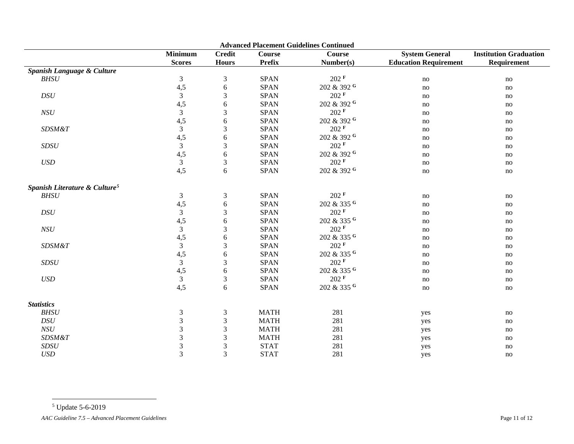<span id="page-10-0"></span>

| <b>Minimum</b><br><b>System General</b><br><b>Credit</b><br><b>Course</b><br><b>Course</b><br><b>Prefix</b><br><b>Scores</b><br><b>Hours</b><br>Number(s)<br>Spanish Language & Culture<br>202 F<br>$\mathfrak{Z}$<br>$\mathfrak 3$<br><b>BHSU</b><br><b>SPAN</b><br>4,5<br>202 & 392 G<br>$\sqrt{6}$<br><b>SPAN</b><br>$\overline{3}$<br>202 F<br>$\ensuremath{\mathfrak{Z}}$<br>$\cal{DS}U$<br><b>SPAN</b><br>202 & 392 G<br>4,5<br><b>SPAN</b><br>6<br>$202$ <sup>F</sup><br>$\mathfrak{Z}$<br>$\mathfrak{Z}$<br>NSU<br><b>SPAN</b><br>202 & 392 G<br>4,5<br><b>SPAN</b><br>$\sqrt{6}$<br>202 F<br>$\mathfrak{Z}$<br>$\ensuremath{\mathfrak{Z}}$<br><b>SPAN</b><br>SDSM&T<br>202 & 392 G<br>4,5<br><b>SPAN</b><br>$\sqrt{6}$<br>202 F<br>$\mathfrak{Z}$<br>$\ensuremath{\mathfrak{Z}}$<br><b>SPAN</b><br>SDSU<br>4,5<br><b>SPAN</b><br>202 & 392 G<br>$\sqrt{6}$<br>$202$ <sup>F</sup><br>$\mathfrak{Z}$<br>USD<br>$\mathfrak{Z}$<br><b>SPAN</b> | <b>Institution Graduation</b>               |
|-----------------------------------------------------------------------------------------------------------------------------------------------------------------------------------------------------------------------------------------------------------------------------------------------------------------------------------------------------------------------------------------------------------------------------------------------------------------------------------------------------------------------------------------------------------------------------------------------------------------------------------------------------------------------------------------------------------------------------------------------------------------------------------------------------------------------------------------------------------------------------------------------------------------------------------------------------|---------------------------------------------|
|                                                                                                                                                                                                                                                                                                                                                                                                                                                                                                                                                                                                                                                                                                                                                                                                                                                                                                                                                     |                                             |
|                                                                                                                                                                                                                                                                                                                                                                                                                                                                                                                                                                                                                                                                                                                                                                                                                                                                                                                                                     | <b>Education Requirement</b><br>Requirement |
|                                                                                                                                                                                                                                                                                                                                                                                                                                                                                                                                                                                                                                                                                                                                                                                                                                                                                                                                                     |                                             |
|                                                                                                                                                                                                                                                                                                                                                                                                                                                                                                                                                                                                                                                                                                                                                                                                                                                                                                                                                     | no<br>no                                    |
|                                                                                                                                                                                                                                                                                                                                                                                                                                                                                                                                                                                                                                                                                                                                                                                                                                                                                                                                                     | $\rm no$<br>no                              |
|                                                                                                                                                                                                                                                                                                                                                                                                                                                                                                                                                                                                                                                                                                                                                                                                                                                                                                                                                     | no<br>no                                    |
|                                                                                                                                                                                                                                                                                                                                                                                                                                                                                                                                                                                                                                                                                                                                                                                                                                                                                                                                                     | no<br>no                                    |
|                                                                                                                                                                                                                                                                                                                                                                                                                                                                                                                                                                                                                                                                                                                                                                                                                                                                                                                                                     | no<br>no                                    |
|                                                                                                                                                                                                                                                                                                                                                                                                                                                                                                                                                                                                                                                                                                                                                                                                                                                                                                                                                     | no<br>no                                    |
|                                                                                                                                                                                                                                                                                                                                                                                                                                                                                                                                                                                                                                                                                                                                                                                                                                                                                                                                                     | no<br>no                                    |
|                                                                                                                                                                                                                                                                                                                                                                                                                                                                                                                                                                                                                                                                                                                                                                                                                                                                                                                                                     | no<br>no                                    |
|                                                                                                                                                                                                                                                                                                                                                                                                                                                                                                                                                                                                                                                                                                                                                                                                                                                                                                                                                     | no<br>no                                    |
|                                                                                                                                                                                                                                                                                                                                                                                                                                                                                                                                                                                                                                                                                                                                                                                                                                                                                                                                                     | no<br>no                                    |
|                                                                                                                                                                                                                                                                                                                                                                                                                                                                                                                                                                                                                                                                                                                                                                                                                                                                                                                                                     | no<br>no                                    |
| 202 & 392 G<br>4,5<br><b>SPAN</b><br>6                                                                                                                                                                                                                                                                                                                                                                                                                                                                                                                                                                                                                                                                                                                                                                                                                                                                                                              | no<br>no                                    |
| Spanish Literature & Culture <sup>5</sup>                                                                                                                                                                                                                                                                                                                                                                                                                                                                                                                                                                                                                                                                                                                                                                                                                                                                                                           |                                             |
| $202$ <sup>F</sup><br>BHSU<br>$\mathfrak{Z}$<br>$\mathfrak{Z}$<br><b>SPAN</b>                                                                                                                                                                                                                                                                                                                                                                                                                                                                                                                                                                                                                                                                                                                                                                                                                                                                       | no<br>no                                    |
| 4,5<br><b>SPAN</b><br>202 & 335 G<br>6                                                                                                                                                                                                                                                                                                                                                                                                                                                                                                                                                                                                                                                                                                                                                                                                                                                                                                              | no<br>no                                    |
| $202$ <sup>F</sup><br>DSU<br>$\mathfrak{Z}$<br>$\mathfrak{Z}$<br><b>SPAN</b>                                                                                                                                                                                                                                                                                                                                                                                                                                                                                                                                                                                                                                                                                                                                                                                                                                                                        | no<br>no                                    |
| 202 & 335 G<br>4,5<br><b>SPAN</b><br>$\sqrt{6}$                                                                                                                                                                                                                                                                                                                                                                                                                                                                                                                                                                                                                                                                                                                                                                                                                                                                                                     | no<br>no                                    |
| $\mathfrak{Z}$<br>202 F<br>NSU<br>$\mathfrak{Z}$<br><b>SPAN</b>                                                                                                                                                                                                                                                                                                                                                                                                                                                                                                                                                                                                                                                                                                                                                                                                                                                                                     | no<br>no                                    |
| 202 & 335 G<br>4,5<br><b>SPAN</b><br>6                                                                                                                                                                                                                                                                                                                                                                                                                                                                                                                                                                                                                                                                                                                                                                                                                                                                                                              | no<br>no                                    |
| $202$ <sup>F</sup><br>$\mathfrak{Z}$<br>$\mathfrak{Z}$<br><b>SDSM&amp;T</b><br><b>SPAN</b>                                                                                                                                                                                                                                                                                                                                                                                                                                                                                                                                                                                                                                                                                                                                                                                                                                                          | no<br>no                                    |
| 4,5<br><b>SPAN</b><br>202 & 335 G<br>$\sqrt{6}$                                                                                                                                                                                                                                                                                                                                                                                                                                                                                                                                                                                                                                                                                                                                                                                                                                                                                                     | no<br>no                                    |
| $202$ <sup>F</sup><br>$\mathfrak{Z}$<br>$\mathfrak 3$<br><b>SPAN</b><br>SDSU                                                                                                                                                                                                                                                                                                                                                                                                                                                                                                                                                                                                                                                                                                                                                                                                                                                                        | no<br>no                                    |
| 4,5<br>202 & 335 G<br><b>SPAN</b><br>$\sqrt{6}$                                                                                                                                                                                                                                                                                                                                                                                                                                                                                                                                                                                                                                                                                                                                                                                                                                                                                                     | no<br>$\mathbf{no}$                         |
| $\mathfrak{Z}$<br>$\sqrt{3}$<br>$202$ <sup>F</sup><br><b>SPAN</b><br><b>USD</b>                                                                                                                                                                                                                                                                                                                                                                                                                                                                                                                                                                                                                                                                                                                                                                                                                                                                     | no<br>$\mathbf{no}$                         |
| 202 & 335 G<br>4,5<br>6<br><b>SPAN</b>                                                                                                                                                                                                                                                                                                                                                                                                                                                                                                                                                                                                                                                                                                                                                                                                                                                                                                              | no<br>no                                    |
| <b>Statistics</b>                                                                                                                                                                                                                                                                                                                                                                                                                                                                                                                                                                                                                                                                                                                                                                                                                                                                                                                                   |                                             |
| $\mathfrak{Z}$<br>BHSU<br>$\mathfrak{Z}$<br><b>MATH</b><br>281                                                                                                                                                                                                                                                                                                                                                                                                                                                                                                                                                                                                                                                                                                                                                                                                                                                                                      | yes<br>no                                   |
| $\mathfrak{Z}$<br>$\mathfrak 3$<br>DSU<br><b>MATH</b><br>281                                                                                                                                                                                                                                                                                                                                                                                                                                                                                                                                                                                                                                                                                                                                                                                                                                                                                        | yes<br>no                                   |
| $\mathfrak{Z}$<br>NSU<br>3<br><b>MATH</b><br>281                                                                                                                                                                                                                                                                                                                                                                                                                                                                                                                                                                                                                                                                                                                                                                                                                                                                                                    | yes<br>no                                   |
| $\mathfrak{Z}$<br><b>SDSM&amp;T</b><br>3<br><b>MATH</b><br>281                                                                                                                                                                                                                                                                                                                                                                                                                                                                                                                                                                                                                                                                                                                                                                                                                                                                                      | yes<br>no                                   |
| $\mathfrak 3$<br>3<br>SDSU<br><b>STAT</b><br>281                                                                                                                                                                                                                                                                                                                                                                                                                                                                                                                                                                                                                                                                                                                                                                                                                                                                                                    | no<br>yes                                   |
| 3<br>3<br><b>USD</b><br><b>STAT</b><br>281                                                                                                                                                                                                                                                                                                                                                                                                                                                                                                                                                                                                                                                                                                                                                                                                                                                                                                          | yes<br>no                                   |